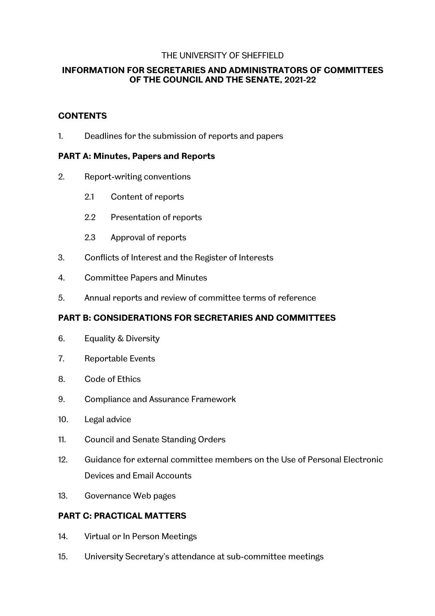#### THE UNIVERSITY OF SHEFFIELD

### **INFORMATION FOR SECRETARIES AND ADMINISTRATORS OF COMMITTEES OF THE COUNCIL AND THE SENATE, 2021-22**

### **CONTENTS**

1. Deadlines for the submission of reports and papers

### **PART A: Minutes, Papers and Reports**

- 2. Report-writing conventions
	- 2.1 Content of reports
	- 2.2 Presentation of reports
	- 2.3 Approval of reports
- 3. Conflicts of Interest and the Register of Interests
- 4. Committee Papers and Minutes
- 5. Annual reports and review of committee terms of reference

# **PART B: CONSIDERATIONS FOR SECRETARIES AND COMMITTEES**

- 6. Equality & Diversity
- 7. Reportable Events
- 8. Code of Ethics
- 9. Compliance and Assurance Framework
- 10. Legal advice
- 11. Council and Senate Standing Orders
- 12. Guidance for external committee members on the Use of Personal Electronic Devices and Email Accounts
- 13. Governance Web pages

# **PART C: PRACTICAL MATTERS**

- 14. Virtual or In Person Meetings
- 15. University Secretary's attendance at sub-committee meetings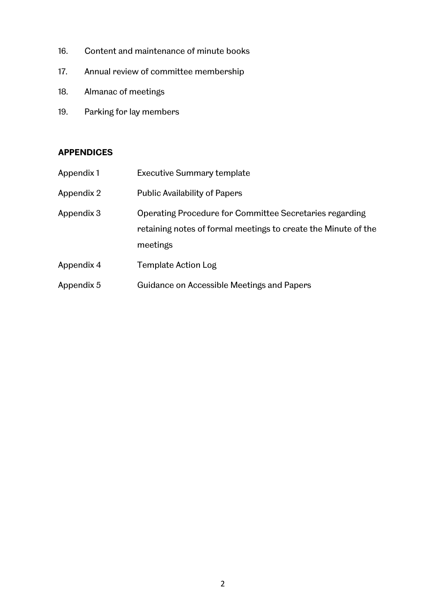- 16. Content and maintenance of minute books
- 17. Annual review of committee membership
- 18. Almanac of meetings
- 19. Parking for lay members

# **APPENDICES**

| Appendix 1 | <b>Executive Summary template</b>                                                                                                     |
|------------|---------------------------------------------------------------------------------------------------------------------------------------|
| Appendix 2 | <b>Public Availability of Papers</b>                                                                                                  |
| Appendix 3 | Operating Procedure for Committee Secretaries regarding<br>retaining notes of formal meetings to create the Minute of the<br>meetings |
| Appendix 4 | Template Action Log                                                                                                                   |
| Appendix 5 | Guidance on Accessible Meetings and Papers                                                                                            |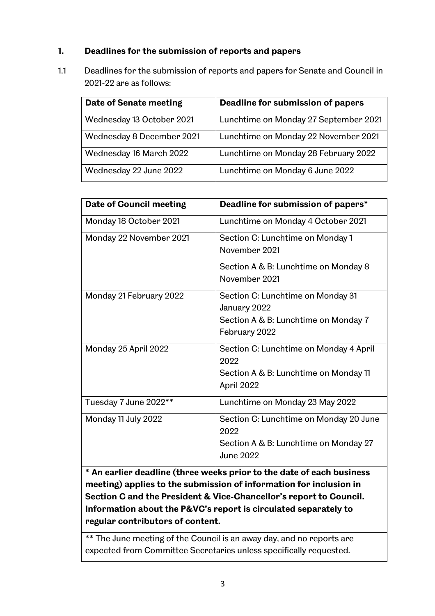# **1. Deadlines for the submission of reports and papers**

1.1 Deadlines for the submission of reports and papers for Senate and Council in 2021-22 are as follows:

| Date of Senate meeting    | Deadline for submission of papers     |
|---------------------------|---------------------------------------|
| Wednesday 13 October 2021 | Lunchtime on Monday 27 September 2021 |
| Wednesday 8 December 2021 | Lunchtime on Monday 22 November 2021  |
| Wednesday 16 March 2022   | Lunchtime on Monday 28 February 2022  |
| Wednesday 22 June 2022    | Lunchtime on Monday 6 June 2022       |

| <b>Date of Council meeting</b> | Deadline for submission of papers*                                                                          |
|--------------------------------|-------------------------------------------------------------------------------------------------------------|
| Monday 18 October 2021         | Lunchtime on Monday 4 October 2021                                                                          |
| Monday 22 November 2021        | Section C: Lunchtime on Monday 1<br>November 2021<br>Section A & B: Lunchtime on Monday 8                   |
|                                | November 2021                                                                                               |
| Monday 21 February 2022        | Section C: Lunchtime on Monday 31<br>January 2022<br>Section A & B: Lunchtime on Monday 7<br>February 2022  |
| Monday 25 April 2022           | Section C: Lunchtime on Monday 4 April<br>2022<br>Section A & B: Lunchtime on Monday 11<br>April 2022       |
| Tuesday 7 June 2022**          | Lunchtime on Monday 23 May 2022                                                                             |
| Monday 11 July 2022            | Section C: Lunchtime on Monday 20 June<br>2022<br>Section A & B: Lunchtime on Monday 27<br><b>June 2022</b> |

**\* An earlier deadline (three weeks prior to the date of each business meeting) applies to the submission of information for inclusion in Section C and the President & Vice-Chancellor's report to Council. Information about the P&VC's report is circulated separately to regular contributors of content.** 

\*\* The June meeting of the Council is an away day, and no reports are expected from Committee Secretaries unless specifically requested.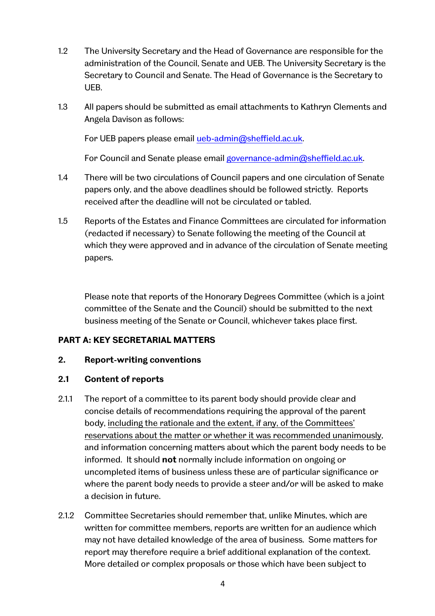- 1.2 The University Secretary and the Head of Governance are responsible for the administration of the Council, Senate and UEB. The University Secretary is the Secretary to Council and Senate. The Head of Governance is the Secretary to UEB.
- 1.3 All papers should be submitted as email attachments to Kathryn Clements and Angela Davison as follows:

For UEB papers please email [ueb-admin@sheffield.ac.uk.](mailto:ueb-admin@sheffield.ac.uk)

For Council and Senate please email [governance-admin@sheffield.ac.uk.](mailto:governance-admin@sheffield.ac.uk)

- 1.4 There will be two circulations of Council papers and one circulation of Senate papers only, and the above deadlines should be followed strictly. Reports received after the deadline will not be circulated or tabled.
- 1.5 Reports of the Estates and Finance Committees are circulated for information (redacted if necessary) to Senate following the meeting of the Council at which they were approved and in advance of the circulation of Senate meeting papers.

Please note that reports of the Honorary Degrees Committee (which is a joint committee of the Senate and the Council) should be submitted to the next business meeting of the Senate or Council, whichever takes place first.

#### **PART A: KEY SECRETARIAL MATTERS**

#### **2. Report-writing conventions**

#### **2.1 Content of reports**

- 2.1.1 The report of a committee to its parent body should provide clear and concise details of recommendations requiring the approval of the parent body, including the rationale and the extent, if any, of the Committees' reservations about the matter or whether it was recommended unanimously, and information concerning matters about which the parent body needs to be informed. It should **not** normally include information on ongoing or uncompleted items of business unless these are of particular significance or where the parent body needs to provide a steer and/or will be asked to make a decision in future.
- 2.1.2 Committee Secretaries should remember that, unlike Minutes, which are written for committee members, reports are written for an audience which may not have detailed knowledge of the area of business. Some matters for report may therefore require a brief additional explanation of the context. More detailed or complex proposals or those which have been subject to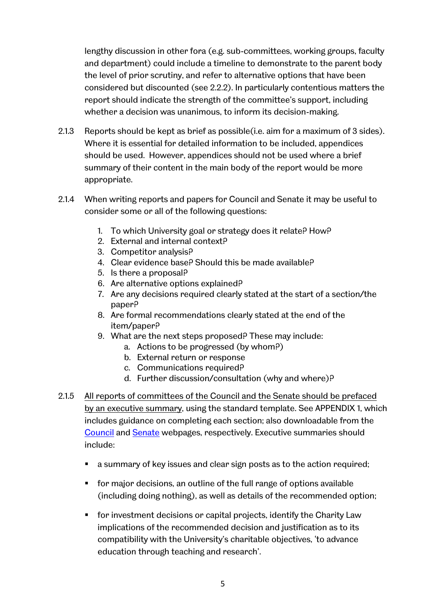lengthy discussion in other fora (e.g. sub-committees, working groups, faculty and department) could include a timeline to demonstrate to the parent body the level of prior scrutiny, and refer to alternative options that have been considered but discounted (see 2.2.2). In particularly contentious matters the report should indicate the strength of the committee's support, including whether a decision was unanimous, to inform its decision-making.

- 2.1.3 Reports should be kept as brief as possible(i.e. aim for a maximum of 3 sides). Where it is essential for detailed information to be included, appendices should be used. However, appendices should not be used where a brief summary of their content in the main body of the report would be more appropriate.
- 2.1.4 When writing reports and papers for Council and Senate it may be useful to consider some or all of the following questions:
	- 1. To which University goal or strategy does it relate? How?
	- 2. External and internal context?
	- 3. Competitor analysis?
	- 4. Clear evidence base? Should this be made available?
	- 5. Is there a proposal?
	- 6. Are alternative options explained?
	- 7. Are any decisions required clearly stated at the start of a section/the paper?
	- 8. Are formal recommendations clearly stated at the end of the item/paper?
	- 9. What are the next steps proposed? These may include:
		- a. Actions to be progressed (by whom?)
		- b. External return or response
		- c. Communications required?
		- d. Further discussion/consultation (why and where)?
- 2.1.5 All reports of committees of the Council and the Senate should be prefaced by an executive summary, using the standard template. See APPENDIX 1, which includes guidance on completing each section; also downloadable from the [Council](https://www.sheffield.ac.uk/govern/council/councilmem) and [Senate](https://www.sheffield.ac.uk/govern/senate) webpages, respectively. Executive summaries should include:
	- a summary of key issues and clear sign posts as to the action required;
	- for major decisions, an outline of the full range of options available (including doing nothing), as well as details of the recommended option;
	- for investment decisions or capital projects, identify the Charity Law implications of the recommended decision and justification as to its compatibility with the University's charitable objectives, 'to advance education through teaching and research'.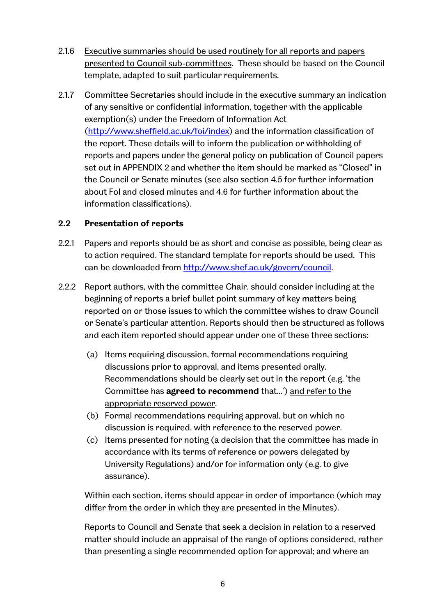- 2.1.6 Executive summaries should be used routinely for all reports and papers presented to Council sub-committees. These should be based on the Council template, adapted to suit particular requirements.
- 2.1.7 Committee Secretaries should include in the executive summary an indication of any sensitive or confidential information, together with the applicable exemption(s) under the Freedom of Information Act [\(http://www.sheffield.ac.uk/foi/index\)](http://www.sheffield.ac.uk/foi/index) and the information classification of the report. These details will to inform the publication or withholding of reports and papers under the general policy on publication of Council papers set out in APPENDIX 2 and whether the item should be marked as "Closed" in the Council or Senate minutes (see also section 4.5 for further information about FoI and closed minutes and 4.6 for further information about the information classifications).

### **2.2 Presentation of reports**

- 2.2.1 Papers and reports should be as short and concise as possible, being clear as to action required. The standard template for reports should be used. This can be downloaded from [http://www.shef.ac.uk/govern/council.](http://www.shef.ac.uk/govern/council)
- 2.2.2 Report authors, with the committee Chair, should consider including at the beginning of reports a brief bullet point summary of key matters being reported on or those issues to which the committee wishes to draw Council or Senate's particular attention. Reports should then be structured as follows and each item reported should appear under one of these three sections:
	- (a) Items requiring discussion, formal recommendations requiring discussions prior to approval, and items presented orally. Recommendations should be clearly set out in the report (e.g. 'the Committee has **agreed to recommend** that...') and refer to the appropriate reserved power.
	- (b) Formal recommendations requiring approval, but on which no discussion is required, with reference to the reserved power.
	- (c) Items presented for noting (a decision that the committee has made in accordance with its terms of reference or powers delegated by University Regulations) and/or for information only (e.g. to give assurance).

Within each section, items should appear in order of importance (which may differ from the order in which they are presented in the Minutes).

Reports to Council and Senate that seek a decision in relation to a reserved matter should include an appraisal of the range of options considered, rather than presenting a single recommended option for approval; and where an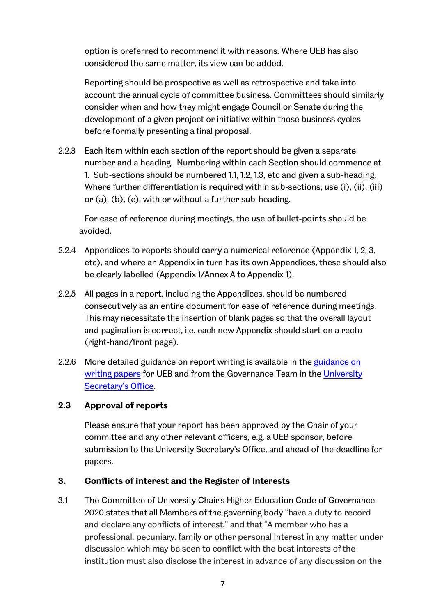option is preferred to recommend it with reasons. Where UEB has also considered the same matter, its view can be added.

Reporting should be prospective as well as retrospective and take into account the annual cycle of committee business. Committees should similarly consider when and how they might engage Council or Senate during the development of a given project or initiative within those business cycles before formally presenting a final proposal.

2.2.3 Each item within each section of the report should be given a separate number and a heading. Numbering within each Section should commence at 1. Sub-sections should be numbered 1.1, 1.2, 1.3, etc and given a sub-heading. Where further differentiation is required within sub-sections, use (i), (ii), (iii) or (a), (b), (c), with or without a further sub-heading.

For ease of reference during meetings, the use of bullet-points should be avoided.

- 2.2.4 Appendices to reports should carry a numerical reference (Appendix 1, 2, 3, etc), and where an Appendix in turn has its own Appendices, these should also be clearly labelled (Appendix 1/Annex A to Appendix 1).
- 2.2.5 All pages in a report, including the Appendices, should be numbered consecutively as an entire document for ease of reference during meetings. This may necessitate the insertion of blank pages so that the overall layout and pagination is correct, i.e. each new Appendix should start on a recto (right-hand/front page).
- 2.2.6 More detailed [guidance on](https://www.sheffield.ac.uk/ueb/meetings/guidance) report writing is available in the guidance on [writing papers](https://www.sheffield.ac.uk/ueb/meetings/guidance) for UEB and from the Governance Team in the [University](https://www.sheffield.ac.uk/uso/team)  [Secretary's Office.](https://www.sheffield.ac.uk/uso/team)

#### **2.3 Approval of reports**

Please ensure that your report has been approved by the Chair of your committee and any other relevant officers, e.g. a UEB sponsor, before submission to the University Secretary's Office, and ahead of the deadline for papers.

#### **3. Conflicts of interest and the Register of Interests**

3.1 The Committee of University Chair's Higher Education Code of Governance 2020 states that all Members of the governing body "have a duty to record and declare any conflicts of interest." and that "A member who has a professional, pecuniary, family or other personal interest in any matter under discussion which may be seen to conflict with the best interests of the institution must also disclose the interest in advance of any discussion on the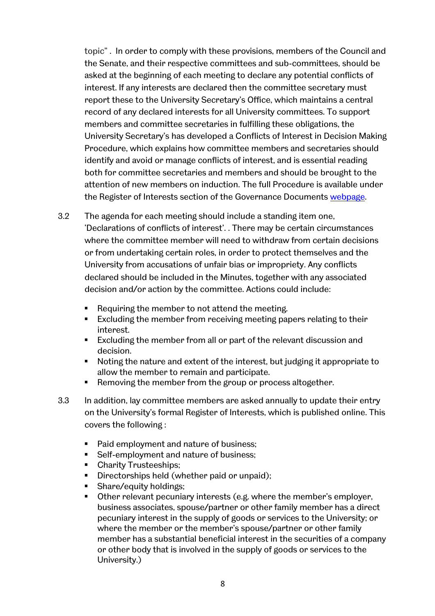topic" . In order to comply with these provisions, members of the Council and the Senate, and their respective committees and sub-committees, should be asked at the beginning of each meeting to declare any potential conflicts of interest. If any interests are declared then the committee secretary must report these to the University Secretary's Office, which maintains a central record of any declared interests for all University committees. To support members and committee secretaries in fulfilling these obligations, the University Secretary's has developed a Conflicts of Interest in Decision Making Procedure, which explains how committee members and secretaries should identify and avoid or manage conflicts of interest, and is essential reading both for committee secretaries and members and should be brought to the attention of new members on induction. The full Procedure is available under the Register of Interests section of the Governance Documents [webpage.](https://www.sheffield.ac.uk/govern/documents)

- 3.2 The agenda for each meeting should include a standing item one, 'Declarations of conflicts of interest'. . There may be certain circumstances where the committee member will need to withdraw from certain decisions or from undertaking certain roles, in order to protect themselves and the University from accusations of unfair bias or impropriety. Any conflicts declared should be included in the Minutes, together with any associated decision and/or action by the committee. Actions could include:
	- Requiring the member to not attend the meeting.
	- Excluding the member from receiving meeting papers relating to their interest.
	- Excluding the member from all or part of the relevant discussion and decision.
	- Noting the nature and extent of the interest, but judging it appropriate to allow the member to remain and participate.
	- **Removing the member from the group or process altogether.**
- 3.3 In addition, lay committee members are asked annually to update their entry on the University's formal Register of Interests, which is published online. This covers the following :
	- Paid employment and nature of business;
	- Self-employment and nature of business;
	- Charity Trusteeships;
	- Directorships held (whether paid or unpaid);
	- Share/equity holdings;
	- **•** Other relevant pecuniary interests (e.g. where the member's employer, business associates, spouse/partner or other family member has a direct pecuniary interest in the supply of goods or services to the University; or where the member or the member's spouse/partner or other family member has a substantial beneficial interest in the securities of a company or other body that is involved in the supply of goods or services to the University.)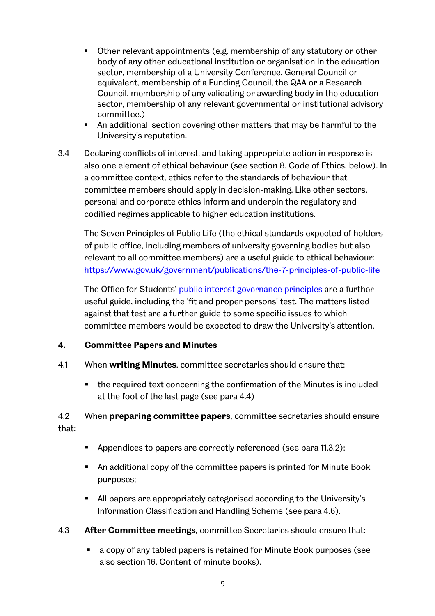- Other relevant appointments (e.g. membership of any statutory or other body of any other educational institution or organisation in the education sector, membership of a University Conference, General Council or equivalent, membership of a Funding Council, the QAA or a Research Council, membership of any validating or awarding body in the education sector, membership of any relevant governmental or institutional advisory committee.)
- An additional section covering other matters that may be harmful to the University's reputation.
- 3.4 Declaring conflicts of interest, and taking appropriate action in response is also one element of ethical behaviour (see section 8, Code of Ethics, below). In a committee context, ethics refer to the standards of behaviour that committee members should apply in decision-making. Like other sectors, personal and corporate ethics inform and underpin the regulatory and codified regimes applicable to higher education institutions.

The Seven Principles of Public Life (the ethical standards expected of holders of public office, including members of university governing bodies but also relevant to all committee members) are a useful guide to ethical behaviour: <https://www.gov.uk/government/publications/the-7-principles-of-public-life>

The Office for Students' [public interest governance principles](https://www.officeforstudents.org.uk/advice-and-guidance/regulation/public-interest-governance-principles/) are a further useful guide, including the 'fit and proper persons' test. The matters listed against that test are a further guide to some specific issues to which committee members would be expected to draw the University's attention.

# **4. Committee Papers and Minutes**

- 4.1 When **writing Minutes**, committee secretaries should ensure that:
	- the required text concerning the confirmation of the Minutes is included at the foot of the last page (see para 4.4)

# 4.2 When **preparing committee papers**, committee secretaries should ensure that:

- **Appendices to papers are correctly referenced (see para 11.3.2);**
- An additional copy of the committee papers is printed for Minute Book purposes;
- All papers are appropriately categorised according to the University's Information Classification and Handling Scheme (see para 4.6).
- 4.3 **After Committee meetings**, committee Secretaries should ensure that:
	- a copy of any tabled papers is retained for Minute Book purposes (see also section 16, Content of minute books).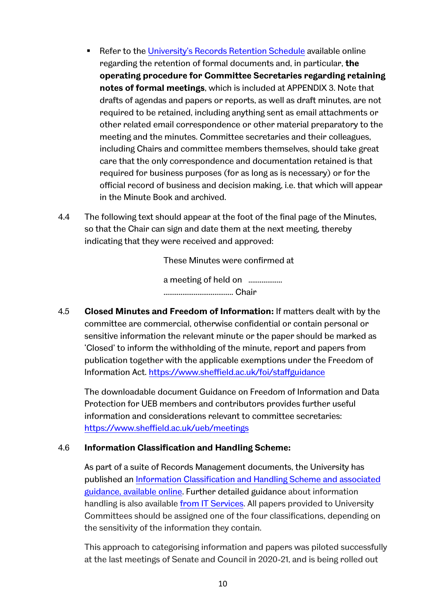- Refer to the [University's Records Retention Schedule](https://www.sheffield.ac.uk/uso/records-management-policy-and-guidance) available online regarding the retention of formal documents and, in particular, **the operating procedure for Committee Secretaries regarding retaining notes of formal meetings**, which is included at APPENDIX 3. Note that drafts of agendas and papers or reports, as well as draft minutes, are not required to be retained, including anything sent as email attachments or other related email correspondence or other material preparatory to the meeting and the minutes. Committee secretaries and their colleagues, including Chairs and committee members themselves, should take great care that the only correspondence and documentation retained is that required for business purposes (for as long as is necessary) or for the official record of business and decision making, i.e. that which will appear in the Minute Book and archived.
- 4.4 The following text should appear at the foot of the final page of the Minutes, so that the Chair can sign and date them at the next meeting, thereby indicating that they were received and approved:

These Minutes were confirmed at a meeting of held on ...................

..................................... Chair

4.5 **Closed Minutes and Freedom of Information:** If matters dealt with by the committee are commercial, otherwise confidential or contain personal or sensitive information the relevant minute or the paper should be marked as 'Closed' to inform the withholding of the minute, report and papers from publication together with the applicable exemptions under the Freedom of Information Act.<https://www.sheffield.ac.uk/foi/staffguidance>

The downloadable document Guidance on Freedom of Information and Data Protection for UEB members and contributors provides further useful information and considerations relevant to committee secretaries: <https://www.sheffield.ac.uk/ueb/meetings>

# 4.6 **Information Classification and Handling Scheme:**

As part of a suite of Records Management documents, the University has published an [Information Classification and Handling Scheme and associated](https://www.sheffield.ac.uk/uso/records-management-policy-and-guidance)  [guidance, available online.](https://www.sheffield.ac.uk/uso/records-management-policy-and-guidance) Further detailed guidance about information handling is also available [from IT Services.](https://www.sheffield.ac.uk/uso/records-management-policy-and-guidance) All papers provided to University Committees should be assigned one of the four classifications, depending on the sensitivity of the information they contain.

This approach to categorising information and papers was piloted successfully at the last meetings of Senate and Council in 2020-21, and is being rolled out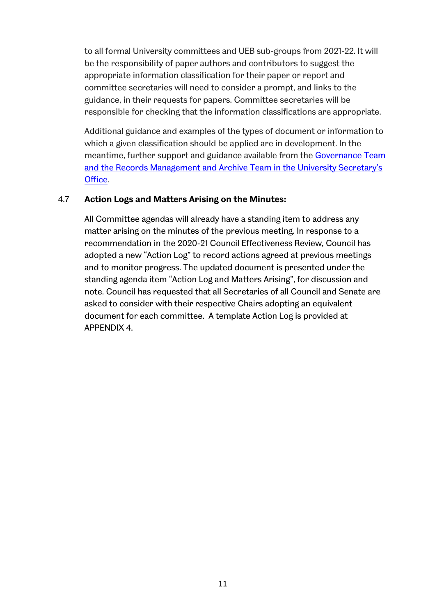to all formal University committees and UEB sub-groups from 2021-22. It will be the responsibility of paper authors and contributors to suggest the appropriate information classification for their paper or report and committee secretaries will need to consider a prompt, and links to the guidance, in their requests for papers. Committee secretaries will be responsible for checking that the information classifications are appropriate.

Additional guidance and examples of the types of document or information to which a given classification should be applied are in development. In the meantime, further support and guidance available from the [Governance Team](https://www.sheffield.ac.uk/uso/team)  [and the Records Management and Archive Team in the University Secretary's](https://www.sheffield.ac.uk/uso/team)  [Office.](https://www.sheffield.ac.uk/uso/team)

### 4.7 **Action Logs and Matters Arising on the Minutes:**

All Committee agendas will already have a standing item to address any matter arising on the minutes of the previous meeting. In response to a recommendation in the 2020-21 Council Effectiveness Review, Council has adopted a new "Action Log" to record actions agreed at previous meetings and to monitor progress. The updated document is presented under the standing agenda item "Action Log and Matters Arising", for discussion and note. Council has requested that all Secretaries of all Council and Senate are asked to consider with their respective Chairs adopting an equivalent document for each committee. A template Action Log is provided at APPENDIX 4.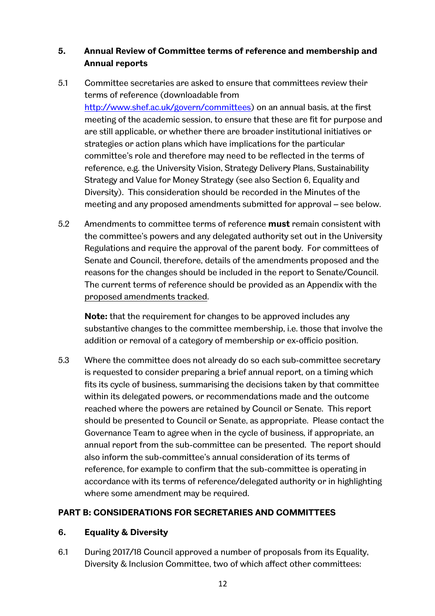# **5. Annual Review of Committee terms of reference and membership and Annual reports**

- 5.1 Committee secretaries are asked to ensure that committees review their terms of reference (downloadable from [http://www.shef.ac.uk/govern/committees\)](http://www.shef.ac.uk/govern/committees) on an annual basis, at the first meeting of the academic session, to ensure that these are fit for purpose and are still applicable, or whether there are broader institutional initiatives or strategies or action plans which have implications for the particular committee's role and therefore may need to be reflected in the terms of reference, e.g. the University Vision, Strategy Delivery Plans, Sustainability Strategy and Value for Money Strategy (see also Section 6, Equality and Diversity). This consideration should be recorded in the Minutes of the meeting and any proposed amendments submitted for approval – see below.
- 5.2 Amendments to committee terms of reference **must** remain consistent with the committee's powers and any delegated authority set out in the University Regulations and require the approval of the parent body. For committees of Senate and Council, therefore, details of the amendments proposed and the reasons for the changes should be included in the report to Senate/Council. The current terms of reference should be provided as an Appendix with the proposed amendments tracked.

**Note:** that the requirement for changes to be approved includes any substantive changes to the committee membership, i.e. those that involve the addition or removal of a category of membership or ex-officio position.

5.3 Where the committee does not already do so each sub-committee secretary is requested to consider preparing a brief annual report, on a timing which fits its cycle of business, summarising the decisions taken by that committee within its delegated powers, or recommendations made and the outcome reached where the powers are retained by Council or Senate. This report should be presented to Council or Senate, as appropriate. Please contact the Governance Team to agree when in the cycle of business, if appropriate, an annual report from the sub-committee can be presented. The report should also inform the sub-committee's annual consideration of its terms of reference, for example to confirm that the sub-committee is operating in accordance with its terms of reference/delegated authority or in highlighting where some amendment may be required.

# **PART B: CONSIDERATIONS FOR SECRETARIES AND COMMITTEES**

# **6. Equality & Diversity**

6.1 During 2017/18 Council approved a number of proposals from its Equality, Diversity & Inclusion Committee, two of which affect other committees: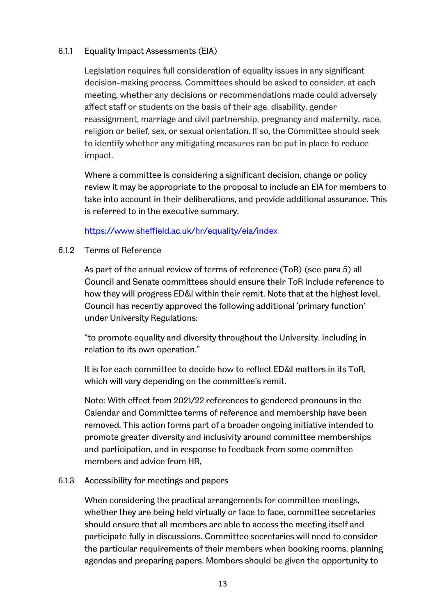### 6.1.1 Equality Impact Assessments (EIA)

Legislation requires full consideration of equality issues in any significant decision-making process. Committees should be asked to consider, at each meeting, whether any decisions or recommendations made could adversely affect staff or students on the basis of their age, disability, gender reassignment, marriage and civil partnership, pregnancy and maternity, race, religion or belief, sex, or sexual orientation. If so, the Committee should seek to identify whether any mitigating measures can be put in place to reduce impact.

Where a committee is considering a significant decision, change or policy review it may be appropriate to the proposal to include an EIA for members to take into account in their deliberations, and provide additional assurance. This is referred to in the executive summary.

#### <https://www.sheffield.ac.uk/hr/equality/eia/index>

#### 6.1.2 Terms of Reference

As part of the annual review of terms of reference (ToR) (see para 5) all Council and Senate committees should ensure their ToR include reference to how they will progress ED&I within their remit. Note that at the highest level, Council has recently approved the following additional 'primary function' under University Regulations:

"to promote equality and diversity throughout the University, including in relation to its own operation."

It is for each committee to decide how to reflect ED&I matters in its ToR, which will vary depending on the committee's remit.

Note: With effect from 2021/22 references to gendered pronouns in the Calendar and Committee terms of reference and membership have been removed. This action forms part of a broader ongoing initiative intended to promote greater diversity and inclusivity around committee memberships and participation, and in response to feedback from some committee members and advice from HR,

#### 6.1.3 Accessibility for meetings and papers

When considering the practical arrangements for committee meetings, whether they are being held virtually or face to face, committee secretaries should ensure that all members are able to access the meeting itself and participate fully in discussions. Committee secretaries will need to consider the particular requirements of their members when booking rooms, planning agendas and preparing papers. Members should be given the opportunity to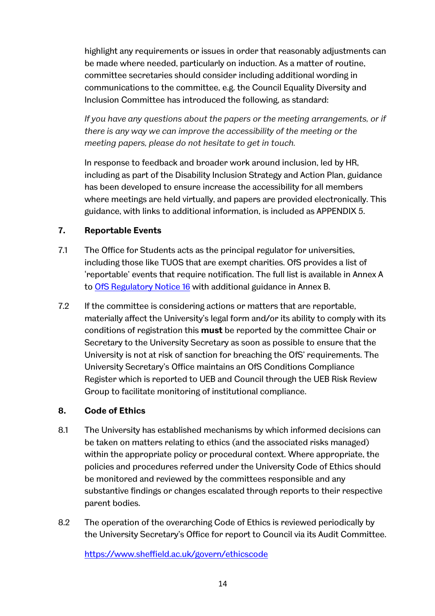highlight any requirements or issues in order that reasonably adjustments can be made where needed, particularly on induction. As a matter of routine, committee secretaries should consider including additional wording in communications to the committee, e.g. the Council Equality Diversity and Inclusion Committee has introduced the following, as standard:

*If you have any questions about the papers or the meeting arrangements, or if there is any way we can improve the accessibility of the meeting or the meeting papers, please do not hesitate to get in touch.*

In response to feedback and broader work around inclusion, led by HR, including as part of the Disability Inclusion Strategy and Action Plan, guidance has been developed to ensure increase the accessibility for all members where meetings are held virtually, and papers are provided electronically. This guidance, with links to additional information, is included as APPENDIX 5.

### **7. Reportable Events**

- 7.1 The Office for Students acts as the principal regulator for universities, including those like TUOS that are exempt charities. OfS provides a list of 'reportable' events that require notification. The full list is available in Annex A to [OfS Regulatory Notice 16](https://www.officeforstudents.org.uk/publications/regulatory-advice-16-reportable-events/) with additional guidance in Annex B.
- 7.2 If the committee is considering actions or matters that are reportable, materially affect the University's legal form and/or its ability to comply with its conditions of registration this **must** be reported by the committee Chair or Secretary to the University Secretary as soon as possible to ensure that the University is not at risk of sanction for breaching the OfS' requirements. The University Secretary's Office maintains an OfS Conditions Compliance Register which is reported to UEB and Council through the UEB Risk Review Group to facilitate monitoring of institutional compliance.

#### **8. Code of Ethics**

- 8.1 The University has established mechanisms by which informed decisions can be taken on matters relating to ethics (and the associated risks managed) within the appropriate policy or procedural context. Where appropriate, the policies and procedures referred under the University Code of Ethics should be monitored and reviewed by the committees responsible and any substantive findings or changes escalated through reports to their respective parent bodies.
- 8.2 The operation of the overarching Code of Ethics is reviewed periodically by the University Secretary's Office for report to Council via its Audit Committee.

<https://www.sheffield.ac.uk/govern/ethicscode>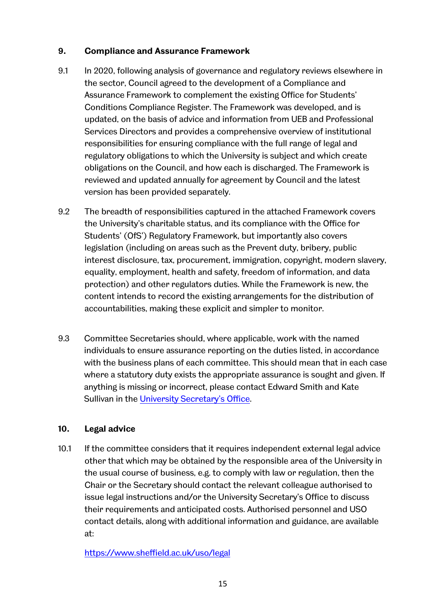## **9. Compliance and Assurance Framework**

- 9.1 In 2020, following analysis of governance and regulatory reviews elsewhere in the sector, Council agreed to the development of a Compliance and Assurance Framework to complement the existing Office for Students' Conditions Compliance Register. The Framework was developed, and is updated, on the basis of advice and information from UEB and Professional Services Directors and provides a comprehensive overview of institutional responsibilities for ensuring compliance with the full range of legal and regulatory obligations to which the University is subject and which create obligations on the Council, and how each is discharged. The Framework is reviewed and updated annually for agreement by Council and the latest version has been provided separately.
- 9.2 The breadth of responsibilities captured in the attached Framework covers the University's charitable status, and its compliance with the Office for Students' (OfS') Regulatory Framework, but importantly also covers legislation (including on areas such as the Prevent duty, bribery, public interest disclosure, tax, procurement, immigration, copyright, modern slavery, equality, employment, health and safety, freedom of information, and data protection) and other regulators duties. While the Framework is new, the content intends to record the existing arrangements for the distribution of accountabilities, making these explicit and simpler to monitor.
- 9.3 Committee Secretaries should, where applicable, work with the named individuals to ensure assurance reporting on the duties listed, in accordance with the business plans of each committee. This should mean that in each case where a statutory duty exists the appropriate assurance is sought and given. If anything is missing or incorrect, please contact Edward Smith and Kate Sullivan in the [University Secretary's Office.](https://www.sheffield.ac.uk/uso/team)

# **10. Legal advice**

10.1 If the committee considers that it requires independent external legal advice other that which may be obtained by the responsible area of the University in the usual course of business, e.g. to comply with law or regulation, then the Chair or the Secretary should contact the relevant colleague authorised to issue legal instructions and/or the University Secretary's Office to discuss their requirements and anticipated costs. Authorised personnel and USO contact details, along with additional information and guidance, are available at:

<https://www.sheffield.ac.uk/uso/legal>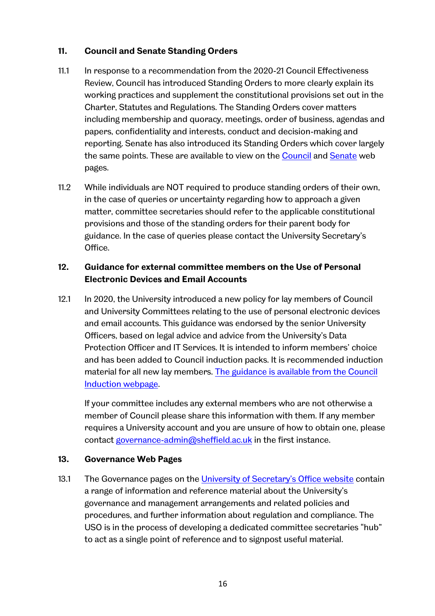## **11. Council and Senate Standing Orders**

- 11.1 In response to a recommendation from the 2020-21 Council Effectiveness Review, Council has introduced Standing Orders to more clearly explain its working practices and supplement the constitutional provisions set out in the Charter, Statutes and Regulations. The Standing Orders cover matters including membership and quoracy, meetings, order of business, agendas and papers, confidentiality and interests, conduct and decision-making and reporting. Senate has also introduced its Standing Orders which cover largely the same points. These are available to view on the [Council](https://www.sheffield.ac.uk/govern/council/councilmem) and [Senate](https://www.sheffield.ac.uk/govern/senate) web pages.
- 11.2 While individuals are NOT required to produce standing orders of their own, in the case of queries or uncertainty regarding how to approach a given matter, committee secretaries should refer to the applicable constitutional provisions and those of the standing orders for their parent body for guidance. In the case of queries please contact the University Secretary's Office.

# **12. Guidance for external committee members on the Use of Personal Electronic Devices and Email Accounts**

12.1 In 2020, the University introduced a new policy for lay members of Council and University Committees relating to the use of personal electronic devices and email accounts. This guidance was endorsed by the senior University Officers, based on legal advice and advice from the University's Data Protection Officer and IT Services. It is intended to inform members' choice and has been added to Council induction packs. It is recommended induction material for all new lay members. [The guidance is available from the Council](https://www.sheffield.ac.uk/govern/council/induct)  [Induction webpage.](https://www.sheffield.ac.uk/govern/council/induct) 

If your committee includes any external members who are not otherwise a member of Council please share this information with them. If any member requires a University account and you are unsure of how to obtain one, please contact [governance-admin@sheffield.ac.uk](mailto:governance-admin@sheffield.ac.uk) in the first instance.

#### **13. Governance Web Pages**

13.1 The Governance pages on the [University of Secretary's Office website](https://www.sheffield.ac.uk/uso) contain a range of information and reference material about the University's governance and management arrangements and related policies and procedures, and further information about regulation and compliance. The USO is in the process of developing a dedicated committee secretaries "hub" to act as a single point of reference and to signpost useful material.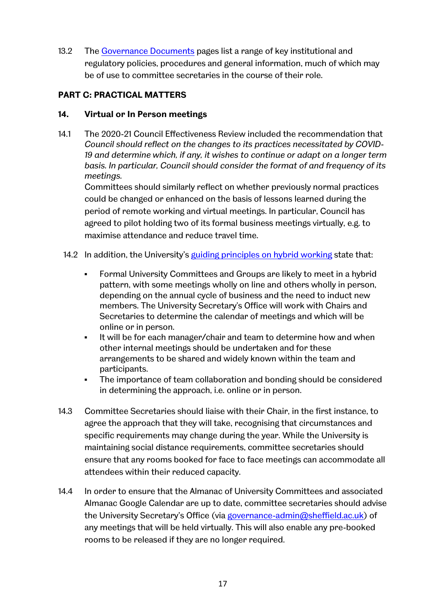13.2 The [Governance Documents](https://www.sheffield.ac.uk/govern/documents) pages list a range of key institutional and regulatory policies, procedures and general information, much of which may be of use to committee secretaries in the course of their role.

# **PART C: PRACTICAL MATTERS**

### **14. Virtual or In Person meetings**

14.1 The 2020-21 Council Effectiveness Review included the recommendation that *Council should reflect on the changes to its practices necessitated by COVID-19 and determine which, if any, it wishes to continue or adapt on a longer term basis. In particular, Council should consider the format of and frequency of its meetings.*

Committees should similarly reflect on whether previously normal practices could be changed or enhanced on the basis of lessons learned during the period of remote working and virtual meetings. In particular, Council has agreed to pilot holding two of its formal business meetings virtually, e.g. to maximise attendance and reduce travel time.

### 14.2 In addition, the University's [guiding principles on hybrid working](https://docs.google.com/document/d/1lYprhm4iq6jXaVHfni37i3MJK_vXf7JLUezhcfDgfcg/edit) state that:

- Formal University Committees and Groups are likely to meet in a hybrid pattern, with some meetings wholly on line and others wholly in person, depending on the annual cycle of business and the need to induct new members. The University Secretary's Office will work with Chairs and Secretaries to determine the calendar of meetings and which will be online or in person.
- It will be for each manager/chair and team to determine how and when other internal meetings should be undertaken and for these arrangements to be shared and widely known within the team and participants.
- The importance of team collaboration and bonding should be considered in determining the approach, i.e. online or in person.
- 14.3 Committee Secretaries should liaise with their Chair, in the first instance, to agree the approach that they will take, recognising that circumstances and specific requirements may change during the year. While the University is maintaining social distance requirements, committee secretaries should ensure that any rooms booked for face to face meetings can accommodate all attendees within their reduced capacity.
- 14.4 In order to ensure that the Almanac of University Committees and associated Almanac Google Calendar are up to date, committee secretaries should advise the University Secretary's Office (via [governance-admin@sheffield.ac.uk\)](mailto:governance-admin@sheffield.ac.uk) of any meetings that will be held virtually. This will also enable any pre-booked rooms to be released if they are no longer required.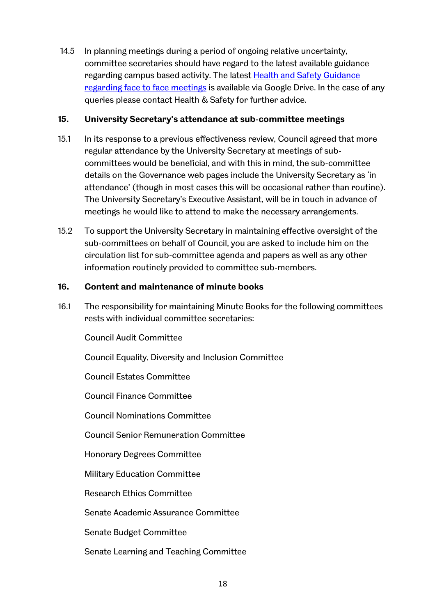14.5 In planning meetings during a period of ongoing relative uncertainty, committee secretaries should have regard to the latest available guidance regarding campus based activity. The latest [Health and Safety Guidance](https://drive.google.com/file/d/14LOaQhVkzCb4A_Yk6uV-DpldMbh5ibeN/view)  [regarding face to face meetings](https://drive.google.com/file/d/14LOaQhVkzCb4A_Yk6uV-DpldMbh5ibeN/view) is available via Google Drive. In the case of any queries please contact Health & Safety for further advice.

#### **15. University Secretary's attendance at sub-committee meetings**

- 15.1 In its response to a previous effectiveness review, Council agreed that more regular attendance by the University Secretary at meetings of subcommittees would be beneficial, and with this in mind, the sub-committee details on the Governance web pages include the University Secretary as 'in attendance' (though in most cases this will be occasional rather than routine). The University Secretary's Executive Assistant, will be in touch in advance of meetings he would like to attend to make the necessary arrangements.
- 15.2 To support the University Secretary in maintaining effective oversight of the sub-committees on behalf of Council, you are asked to include him on the circulation list for sub-committee agenda and papers as well as any other information routinely provided to committee sub-members.

#### **16. Content and maintenance of minute books**

16.1 The responsibility for maintaining Minute Books for the following committees rests with individual committee secretaries:

Council Audit Committee

Council Equality, Diversity and Inclusion Committee

Council Estates Committee

Council Finance Committee

Council Nominations Committee

Council Senior Remuneration Committee

Honorary Degrees Committee

Military Education Committee

Research Ethics Committee

Senate Academic Assurance Committee

Senate Budget Committee

Senate Learning and Teaching Committee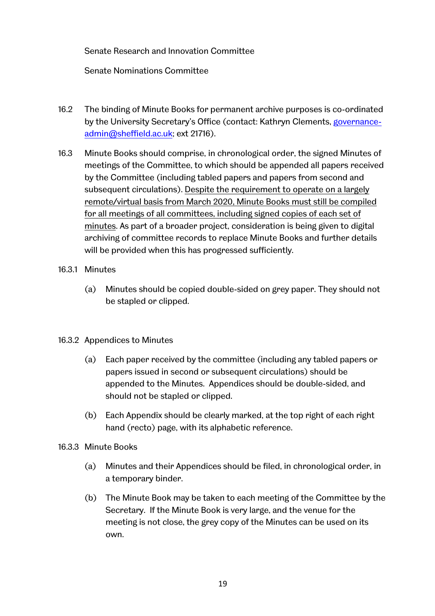### Senate Research and Innovation Committee

Senate Nominations Committee

- 16.2 The binding of Minute Books for permanent archive purposes is co-ordinated by the University Secretary's Office (contact: Kathryn Clements, [governance](mailto:kathryn.clements@sheffield.ac.uk)[admin@sheffield.ac.uk;](mailto:kathryn.clements@sheffield.ac.uk) ext 21716).
- 16.3 Minute Books should comprise, in chronological order, the signed Minutes of meetings of the Committee, to which should be appended all papers received by the Committee (including tabled papers and papers from second and subsequent circulations). Despite the requirement to operate on a largely remote/virtual basis from March 2020, Minute Books must still be compiled for all meetings of all committees, including signed copies of each set of minutes. As part of a broader project, consideration is being given to digital archiving of committee records to replace Minute Books and further details will be provided when this has progressed sufficiently.
- 16.3.1 Minutes
	- (a) Minutes should be copied double-sided on grey paper. They should not be stapled or clipped.

#### 16.3.2 Appendices to Minutes

- (a) Each paper received by the committee (including any tabled papers or papers issued in second or subsequent circulations) should be appended to the Minutes. Appendices should be double-sided, and should not be stapled or clipped.
- (b) Each Appendix should be clearly marked, at the top right of each right hand (recto) page, with its alphabetic reference.
- 16.3.3 Minute Books
	- (a) Minutes and their Appendices should be filed, in chronological order, in a temporary binder.
	- (b) The Minute Book may be taken to each meeting of the Committee by the Secretary. If the Minute Book is very large, and the venue for the meeting is not close, the grey copy of the Minutes can be used on its own.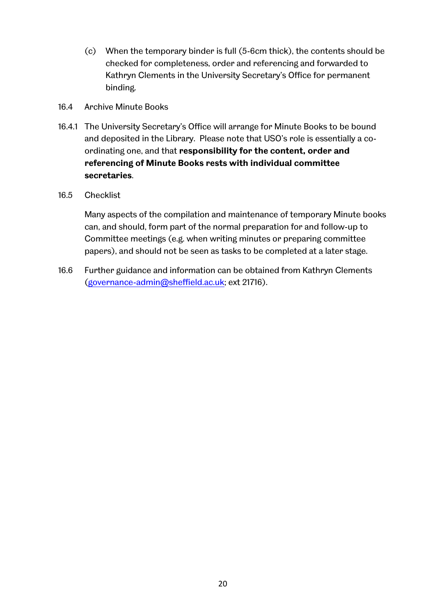- (c) When the temporary binder is full (5-6cm thick), the contents should be checked for completeness, order and referencing and forwarded to Kathryn Clements in the University Secretary's Office for permanent binding.
- 16.4 Archive Minute Books
- 16.4.1 The University Secretary's Office will arrange for Minute Books to be bound and deposited in the Library. Please note that USO's role is essentially a coordinating one, and that **responsibility for the content, order and referencing of Minute Books rests with individual committee secretaries**.
- 16.5 Checklist

Many aspects of the compilation and maintenance of temporary Minute books can, and should, form part of the normal preparation for and follow-up to Committee meetings (e.g. when writing minutes or preparing committee papers), and should not be seen as tasks to be completed at a later stage.

16.6 Further guidance and information can be obtained from Kathryn Clements [\(governance-admin@sheffield.ac.uk;](mailto:kathryn.clements@sheffield.ac.uk) ext 21716).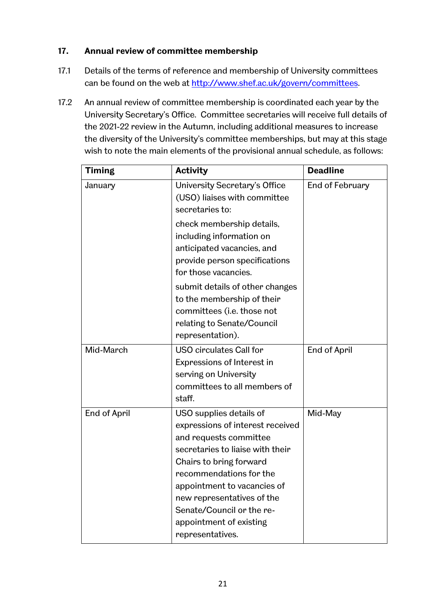# **17. Annual review of committee membership**

- 17.1 Details of the terms of reference and membership of University committees can be found on the web at [http://www.shef.ac.uk/govern/committees.](http://www.shef.ac.uk/govern/committees)
- 17.2 An annual review of committee membership is coordinated each year by the University Secretary's Office. Committee secretaries will receive full details of the 2021-22 review in the Autumn, including additional measures to increase the diversity of the University's committee memberships, but may at this stage wish to note the main elements of the provisional annual schedule, as follows:

| <b>Timing</b> | <b>Activity</b>                                                                                                                                                                                                                                                                                                          | <b>Deadline</b> |
|---------------|--------------------------------------------------------------------------------------------------------------------------------------------------------------------------------------------------------------------------------------------------------------------------------------------------------------------------|-----------------|
| January       | University Secretary's Office<br>(USO) liaises with committee<br>secretaries to:                                                                                                                                                                                                                                         | End of February |
|               | check membership details,<br>including information on<br>anticipated vacancies, and<br>provide person specifications<br>for those vacancies.<br>submit details of other changes<br>to the membership of their<br>committees (i.e. those not<br>relating to Senate/Council<br>representation).                            |                 |
| Mid-March     | <b>USO circulates Call for</b><br>Expressions of Interest in<br>serving on University<br>committees to all members of<br>staff.                                                                                                                                                                                          | End of April    |
| End of April  | USO supplies details of<br>expressions of interest received<br>and requests committee<br>secretaries to liaise with their<br>Chairs to bring forward<br>recommendations for the<br>appointment to vacancies of<br>new representatives of the<br>Senate/Council or the re-<br>appointment of existing<br>representatives. | Mid-May         |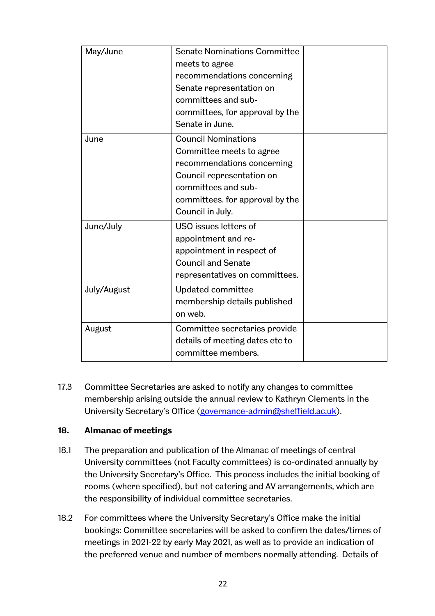| May/June    | <b>Senate Nominations Committee</b> |  |
|-------------|-------------------------------------|--|
|             | meets to agree                      |  |
|             | recommendations concerning          |  |
|             | Senate representation on            |  |
|             | committees and sub-                 |  |
|             | committees, for approval by the     |  |
|             | Senate in June.                     |  |
| June        | <b>Council Nominations</b>          |  |
|             | Committee meets to agree            |  |
|             | recommendations concerning          |  |
|             | Council representation on           |  |
|             | committees and sub-                 |  |
|             | committees, for approval by the     |  |
|             | Council in July.                    |  |
| June/July   | USO issues letters of               |  |
|             | appointment and re-                 |  |
|             | appointment in respect of           |  |
|             | <b>Council and Senate</b>           |  |
|             | representatives on committees.      |  |
| July/August | Updated committee                   |  |
|             | membership details published        |  |
|             | on web.                             |  |
| August      | Committee secretaries provide       |  |
|             | details of meeting dates etc to     |  |
|             | committee members.                  |  |
|             |                                     |  |

17.3 Committee Secretaries are asked to notify any changes to committee membership arising outside the annual review to Kathryn Clements in the University Secretary's Office [\(governance-admin@sheffield.ac.uk\)](mailto:kathryn.clements@sheffield.ac.uk).

#### **18. Almanac of meetings**

- 18.1 The preparation and publication of the Almanac of meetings of central University committees (not Faculty committees) is co-ordinated annually by the University Secretary's Office. This process includes the initial booking of rooms (where specified), but not catering and AV arrangements, which are the responsibility of individual committee secretaries.
- 18.2 For committees where the University Secretary's Office make the initial bookings: Committee secretaries will be asked to confirm the dates/times of meetings in 2021-22 by early May 2021, as well as to provide an indication of the preferred venue and number of members normally attending. Details of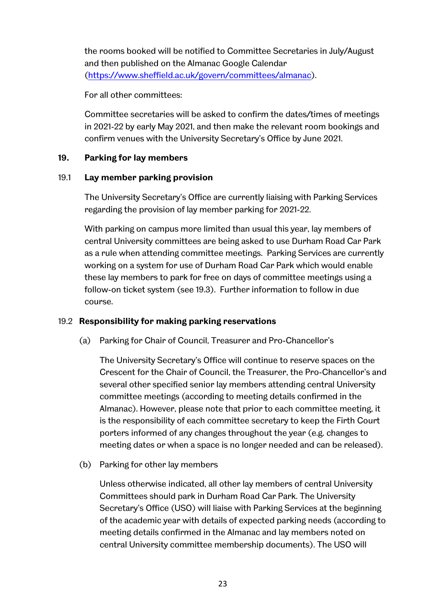the rooms booked will be notified to Committee Secretaries in July/August and then published on the Almanac Google Calendar [\(https://www.sheffield.ac.uk/govern/committees/almanac\)](https://www.sheffield.ac.uk/govern/committees/almanac).

For all other committees:

Committee secretaries will be asked to confirm the dates/times of meetings in 2021-22 by early May 2021, and then make the relevant room bookings and confirm venues with the University Secretary's Office by June 2021.

### **19. Parking for lay members**

### 19.1 **Lay member parking provision**

The University Secretary's Office are currently liaising with Parking Services regarding the provision of lay member parking for 2021-22.

With parking on campus more limited than usual this year, lay members of central University committees are being asked to use Durham Road Car Park as a rule when attending committee meetings. Parking Services are currently working on a system for use of Durham Road Car Park which would enable these lay members to park for free on days of committee meetings using a follow-on ticket system (see 19.3). Further information to follow in due course.

# 19.2 **Responsibility for making parking reservations**

(a) Parking for Chair of Council, Treasurer and Pro-Chancellor's

The University Secretary's Office will continue to reserve spaces on the Crescent for the Chair of Council, the Treasurer, the Pro-Chancellor's and several other specified senior lay members attending central University committee meetings (according to meeting details confirmed in the Almanac). However, please note that prior to each committee meeting, it is the responsibility of each committee secretary to keep the Firth Court porters informed of any changes throughout the year (e.g. changes to meeting dates or when a space is no longer needed and can be released).

(b) Parking for other lay members

Unless otherwise indicated, all other lay members of central University Committees should park in Durham Road Car Park. The University Secretary's Office (USO) will liaise with Parking Services at the beginning of the academic year with details of expected parking needs (according to meeting details confirmed in the Almanac and lay members noted on central University committee membership documents). The USO will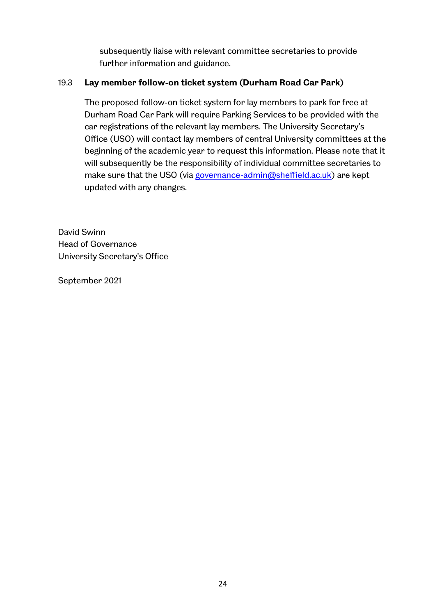subsequently liaise with relevant committee secretaries to provide further information and guidance.

## 19.3 **Lay member follow-on ticket system (Durham Road Car Park)**

The proposed follow-on ticket system for lay members to park for free at Durham Road Car Park will require Parking Services to be provided with the car registrations of the relevant lay members. The University Secretary's Office (USO) will contact lay members of central University committees at the beginning of the academic year to request this information. Please note that it will subsequently be the responsibility of individual committee secretaries to make sure that the USO (via [governance-admin@sheffield.ac.uk\)](mailto:governance-admin@sheffield.ac.uk) are kept updated with any changes.

David Swinn Head of Governance University Secretary's Office

September 2021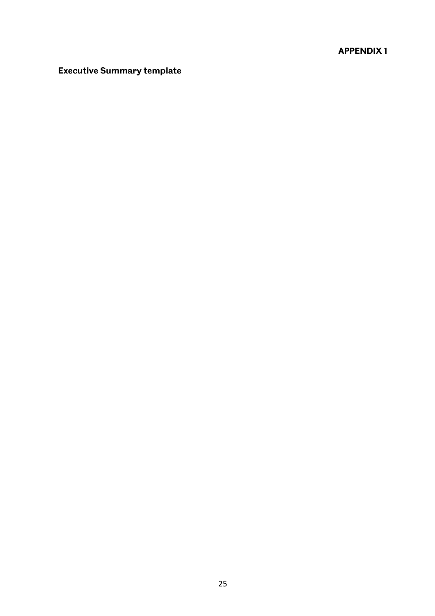# **APPENDIX 1**

# **Executive Summary template**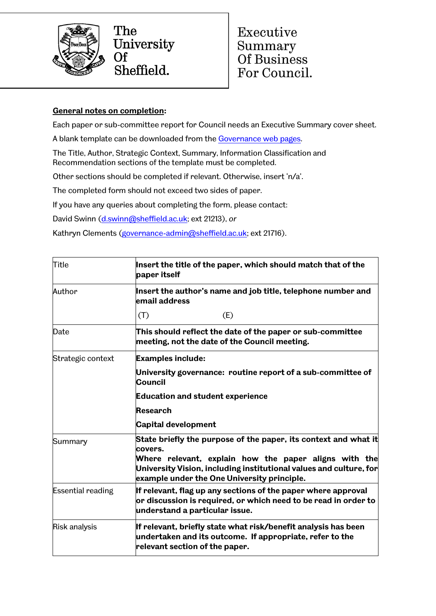

The University  $\overline{Of}$ Sheffield.

Executive Summary Of Business For Council.

### **General notes on completion:**

Each paper or sub-committee report for Council needs an Executive Summary cover sheet.

A blank template can be downloaded from the [Governance web pages.](https://www.sheffield.ac.uk/govern/council)

The Title, Author, Strategic Context, Summary, Information Classification and Recommendation sections of the template must be completed.

Other sections should be completed if relevant. Otherwise, insert 'n/a'.

The completed form should not exceed two sides of paper.

If you have any queries about completing the form, please contact:

David Swinn [\(d.swinn@sheffield.ac.uk;](mailto:d.swinn@sheffield.ac.uk) ext 21213), *or*

Kathryn Clements [\(governance-admin@sheffield.ac.uk;](mailto:governance-admin@sheffield.ac.uk) ext 21716).

| <b>Title</b>             | Insert the title of the paper, which should match that of the<br>paper itself                                                                                                                                                                            |  |  |  |  |
|--------------------------|----------------------------------------------------------------------------------------------------------------------------------------------------------------------------------------------------------------------------------------------------------|--|--|--|--|
| Author                   | Insert the author's name and job title, telephone number and<br>email address                                                                                                                                                                            |  |  |  |  |
|                          | (T)<br>(E)                                                                                                                                                                                                                                               |  |  |  |  |
| Date                     | This should reflect the date of the paper or sub-committee<br>meeting, not the date of the Council meeting.                                                                                                                                              |  |  |  |  |
| Strategic context        | <b>Examples include:</b>                                                                                                                                                                                                                                 |  |  |  |  |
|                          | University governance: routine report of a sub-committee of<br><b>Council</b>                                                                                                                                                                            |  |  |  |  |
|                          | <b>Education and student experience</b>                                                                                                                                                                                                                  |  |  |  |  |
|                          | <b>Research</b>                                                                                                                                                                                                                                          |  |  |  |  |
|                          | <b>Capital development</b>                                                                                                                                                                                                                               |  |  |  |  |
| Summary                  | State briefly the purpose of the paper, its context and what it<br>covers.<br>Where relevant, explain how the paper aligns with the<br>University Vision, including institutional values and culture, for<br>example under the One University principle. |  |  |  |  |
| <b>Essential reading</b> | If relevant, flag up any sections of the paper where approval<br>or discussion is required, or which need to be read in order to<br>understand a particular issue.                                                                                       |  |  |  |  |
| Risk analysis            | If relevant, briefly state what risk/benefit analysis has been<br>undertaken and its outcome. If appropriate, refer to the<br>relevant section of the paper.                                                                                             |  |  |  |  |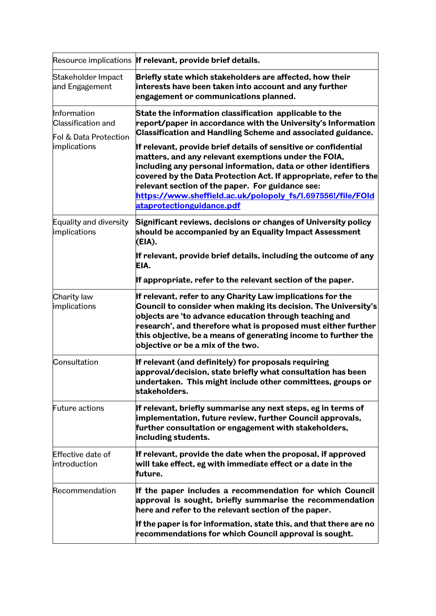|                                                                                   | Resource implications If relevant, provide brief details.                                                                                                                                                                                                                                                                                                      |  |  |  |  |  |
|-----------------------------------------------------------------------------------|----------------------------------------------------------------------------------------------------------------------------------------------------------------------------------------------------------------------------------------------------------------------------------------------------------------------------------------------------------------|--|--|--|--|--|
| Stakeholder Impact<br>and Engagement                                              | Briefly state which stakeholders are affected, how their<br>interests have been taken into account and any further<br>engagement or communications planned.                                                                                                                                                                                                    |  |  |  |  |  |
| Information<br><b>Classification and</b><br>Fol & Data Protection<br>implications | State the information classification applicable to the<br>report/paper in accordance with the University's Information<br><b>Classification and Handling Scheme and associated guidance.</b><br>If relevant, provide brief details of sensitive or confidential<br>matters, and any relevant exemptions under the FOIA,                                        |  |  |  |  |  |
|                                                                                   | including any personal information, data or other identifiers<br>covered by the Data Protection Act. If appropriate, refer to the<br>relevant section of the paper. For guidance see:<br>https://www.sheffield.ac.uk/polopoly fs/1.697556!/file/FOld<br>ataprotectionguidance.pdf                                                                              |  |  |  |  |  |
| Equality and diversity<br>implications                                            | Significant reviews, decisions or changes of University policy<br>should be accompanied by an Equality Impact Assessment<br>(EIA).                                                                                                                                                                                                                             |  |  |  |  |  |
|                                                                                   | If relevant, provide brief details, including the outcome of any<br>EIA.                                                                                                                                                                                                                                                                                       |  |  |  |  |  |
|                                                                                   | If appropriate, refer to the relevant section of the paper.                                                                                                                                                                                                                                                                                                    |  |  |  |  |  |
| Charity law<br>implications                                                       | If relevant, refer to any Charity Law implications for the<br>Council to consider when making its decision. The University's<br>objects are 'to advance education through teaching and<br>research', and therefore what is proposed must either further<br>this objective, be a means of generating income to further the<br>objective or be a mix of the two. |  |  |  |  |  |
| Consultation                                                                      | If relevant (and definitely) for proposals requiring<br>approval/decision, state briefly what consultation has been<br>undertaken. This might include other committees, groups or<br>stakeholders.                                                                                                                                                             |  |  |  |  |  |
| <b>Future actions</b>                                                             | If relevant, briefly summarise any next steps, eg in terms of<br>implementation, future review, further Council approvals,<br>further consultation or engagement with stakeholders,<br>including students.                                                                                                                                                     |  |  |  |  |  |
| Effective date of<br>introduction                                                 | If relevant, provide the date when the proposal, if approved<br>will take effect, eg with immediate effect or a date in the<br>future.                                                                                                                                                                                                                         |  |  |  |  |  |
| Recommendation                                                                    | If the paper includes a recommendation for which Council<br>approval is sought, briefly summarise the recommendation<br>here and refer to the relevant section of the paper.                                                                                                                                                                                   |  |  |  |  |  |
|                                                                                   | If the paper is for information, state this, and that there are no<br>recommendations for which Council approval is sought.                                                                                                                                                                                                                                    |  |  |  |  |  |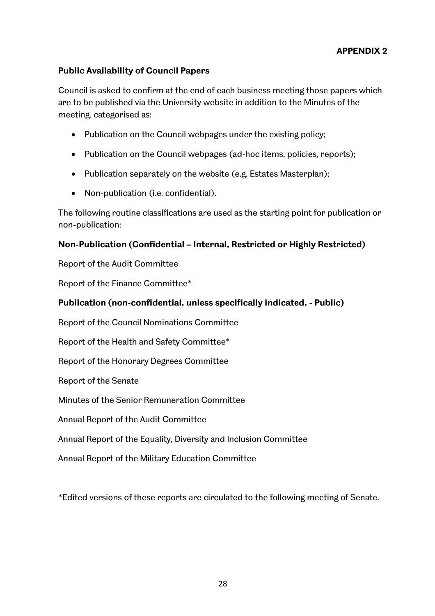# **APPENDIX 2**

## **Public Availability of Council Papers**

Council is asked to confirm at the end of each business meeting those papers which are to be published via the University website in addition to the Minutes of the meeting, categorised as:

- Publication on the Council webpages under the existing policy;
- Publication on the Council webpages (ad-hoc items, policies, reports);
- Publication separately on the website (e.g. Estates Masterplan);
- Non-publication (i.e. confidential).

The following routine classifications are used as the starting point for publication or non-publication:

#### **Non-Publication (Confidential – Internal, Restricted or Highly Restricted)**

Report of the Audit Committee

Report of the Finance Committee\*

#### **Publication (non-confidential, unless specifically indicated, - Public)**

Report of the Council Nominations Committee

Report of the Health and Safety Committee\*

Report of the Honorary Degrees Committee

Report of the Senate

Minutes of the Senior Remuneration Committee

Annual Report of the Audit Committee

Annual Report of the Equality, Diversity and Inclusion Committee

Annual Report of the Military Education Committee

\*Edited versions of these reports are circulated to the following meeting of Senate.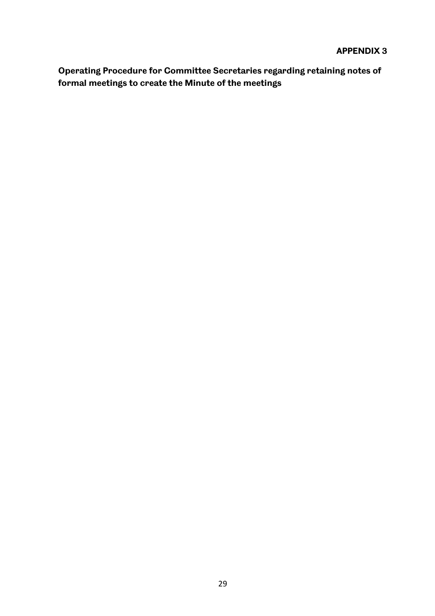### **APPENDIX 3**

**Operating Procedure for Committee Secretaries regarding retaining notes of formal meetings to create the Minute of the meetings**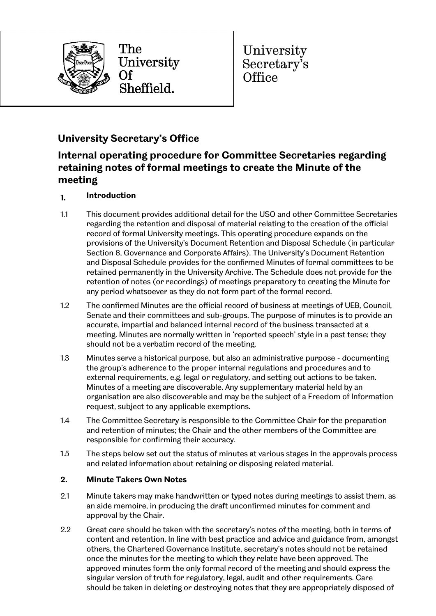

The University Of Sheffield.

University Secretary's Office

# **University Secretary's Office**

# **Internal operating procedure for Committee Secretaries regarding retaining notes of formal meetings to create the Minute of the meeting**

- **1. Introduction**
- 1.1 This document provides additional detail for the USO and other Committee Secretaries regarding the retention and disposal of material relating to the creation of the official record of formal University meetings. This operating procedure expands on the provisions of the University's Document Retention and Disposal Schedule (in particular Section 8, Governance and Corporate Affairs). The University's Document Retention and Disposal Schedule provides for the confirmed Minutes of formal committees to be retained permanently in the University Archive. The Schedule does not provide for the retention of notes (or recordings) of meetings preparatory to creating the Minute for any period whatsoever as they do not form part of the formal record.
- 1.2 The confirmed Minutes are the official record of business at meetings of UEB, Council, Senate and their committees and sub-groups. The purpose of minutes is to provide an accurate, impartial and balanced internal record of the business transacted at a meeting. Minutes are normally written in 'reported speech' style in a past tense; they should not be a verbatim record of the meeting.
- 1.3 Minutes serve a historical purpose, but also an administrative purpose documenting the group's adherence to the proper internal regulations and procedures and to external requirements, e.g. legal or regulatory, and setting out actions to be taken. Minutes of a meeting are discoverable. Any supplementary material held by an organisation are also discoverable and may be the subject of a Freedom of Information request, subject to any applicable exemptions.
- 1.4 The Committee Secretary is responsible to the Committee Chair for the preparation and retention of minutes; the Chair and the other members of the Committee are responsible for confirming their accuracy.
- 1.5 The steps below set out the status of minutes at various stages in the approvals process and related information about retaining or disposing related material.

#### **2. Minute Takers Own Notes**

- 2.1 Minute takers may make handwritten or typed notes during meetings to assist them, as an aide memoire, in producing the draft unconfirmed minutes for comment and approval by the Chair.
- 2.2 Great care should be taken with the secretary's notes of the meeting, both in terms of content and retention. In line with best practice and advice and guidance from, amongst others, the Chartered Governance Institute, secretary's notes should not be retained once the minutes for the meeting to which they relate have been approved. The approved minutes form the only formal record of the meeting and should express the singular version of truth for regulatory, legal, audit and other requirements. Care should be taken in deleting or destroying notes that they are appropriately disposed of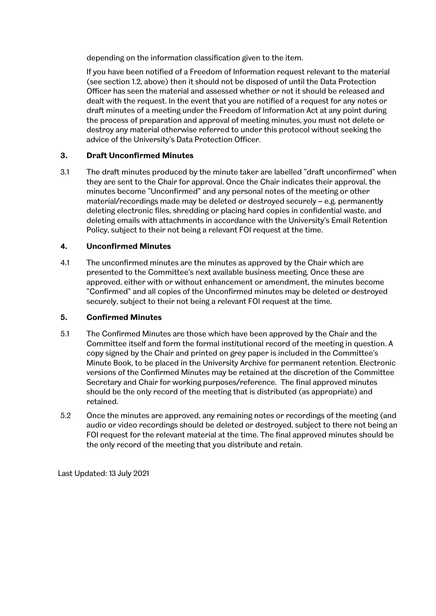depending on the information classification given to the item.

If you have been notified of a Freedom of Information request relevant to the material (see section 1.2, above) then it should not be disposed of until the Data Protection Officer has seen the material and assessed whether or not it should be released and dealt with the request. In the event that you are notified of a request for any notes or draft minutes of a meeting under the Freedom of Information Act at any point during the process of preparation and approval of meeting minutes, you must not delete or destroy any material otherwise referred to under this protocol without seeking the advice of the University's Data Protection Officer.

#### **3. Draft Unconfirmed Minutes**

3.1 The draft minutes produced by the minute taker are labelled "draft unconfirmed" when they are sent to the Chair for approval. Once the Chair indicates their approval, the minutes become "Unconfirmed" and any personal notes of the meeting or other material/recordings made may be deleted or destroyed securely – e.g. permanently deleting electronic files, shredding or placing hard copies in confidential waste, and deleting emails with attachments in accordance with the University's Email Retention Policy, subject to their not being a relevant FOI request at the time.

#### **4. Unconfirmed Minutes**

4.1 The unconfirmed minutes are the minutes as approved by the Chair which are presented to the Committee's next available business meeting. Once these are approved, either with or without enhancement or amendment, the minutes become "Confirmed" and all copies of the Unconfirmed minutes may be deleted or destroyed securely, subject to their not being a relevant FOI request at the time.

#### **5. Confirmed Minutes**

- 5.1 The Confirmed Minutes are those which have been approved by the Chair and the Committee itself and form the formal institutional record of the meeting in question. A copy signed by the Chair and printed on grey paper is included in the Committee's Minute Book, to be placed in the University Archive for permanent retention. Electronic versions of the Confirmed Minutes may be retained at the discretion of the Committee Secretary and Chair for working purposes/reference. The final approved minutes should be the only record of the meeting that is distributed (as appropriate) and retained.
- 5.2 Once the minutes are approved, any remaining notes or recordings of the meeting (and audio or video recordings should be deleted or destroyed, subject to there not being an FOI request for the relevant material at the time. The final approved minutes should be the only record of the meeting that you distribute and retain.

Last Updated: 13 July 2021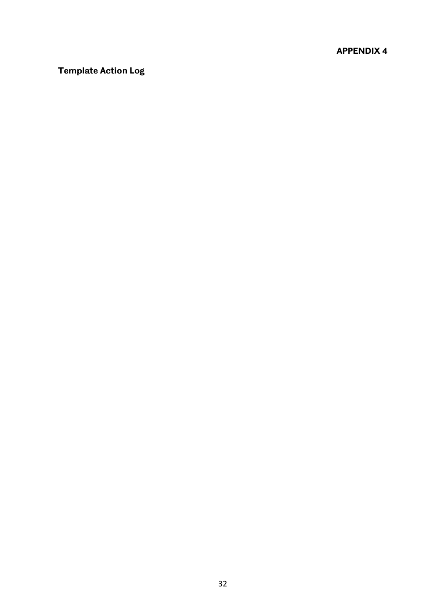# **APPENDIX 4**

# **Template Action Log**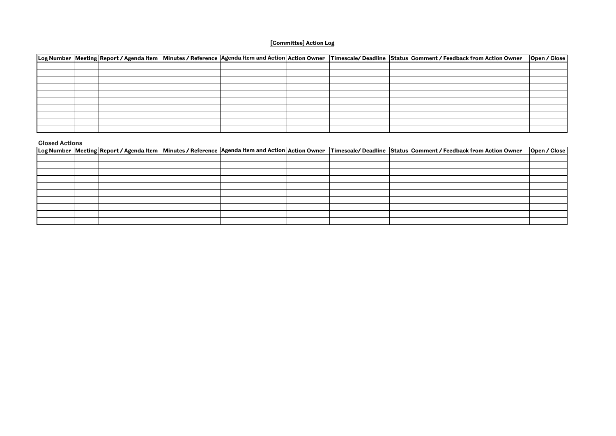|  |  |  |  | Log Number  Meeting  Report / Agenda Item  Minutes / Reference  Agenda Item and Action  Action Owner  Timescale/ Deadline  Status  Comment / Feedback from Action Owner | <b>Open / Close</b> |
|--|--|--|--|-------------------------------------------------------------------------------------------------------------------------------------------------------------------------|---------------------|
|  |  |  |  |                                                                                                                                                                         |                     |
|  |  |  |  |                                                                                                                                                                         |                     |
|  |  |  |  |                                                                                                                                                                         |                     |
|  |  |  |  |                                                                                                                                                                         |                     |
|  |  |  |  |                                                                                                                                                                         |                     |
|  |  |  |  |                                                                                                                                                                         |                     |
|  |  |  |  |                                                                                                                                                                         |                     |
|  |  |  |  |                                                                                                                                                                         |                     |
|  |  |  |  |                                                                                                                                                                         |                     |
|  |  |  |  |                                                                                                                                                                         |                     |

#### **Closed Actions**

|  |  |  |  |  |  |  |  | Log Number  Meeting  Report / Agenda Item   Minutes / Reference   Agenda Item and Action   Action Owner   Timescale/ Deadline   Status   Comment / Feedback from Action Owner | <b>Open / Close</b> |
|--|--|--|--|--|--|--|--|-------------------------------------------------------------------------------------------------------------------------------------------------------------------------------|---------------------|
|  |  |  |  |  |  |  |  |                                                                                                                                                                               |                     |
|  |  |  |  |  |  |  |  |                                                                                                                                                                               |                     |
|  |  |  |  |  |  |  |  |                                                                                                                                                                               |                     |
|  |  |  |  |  |  |  |  |                                                                                                                                                                               |                     |
|  |  |  |  |  |  |  |  |                                                                                                                                                                               |                     |
|  |  |  |  |  |  |  |  |                                                                                                                                                                               |                     |
|  |  |  |  |  |  |  |  |                                                                                                                                                                               |                     |
|  |  |  |  |  |  |  |  |                                                                                                                                                                               |                     |
|  |  |  |  |  |  |  |  |                                                                                                                                                                               |                     |
|  |  |  |  |  |  |  |  |                                                                                                                                                                               |                     |

# **[Committee] Action Log**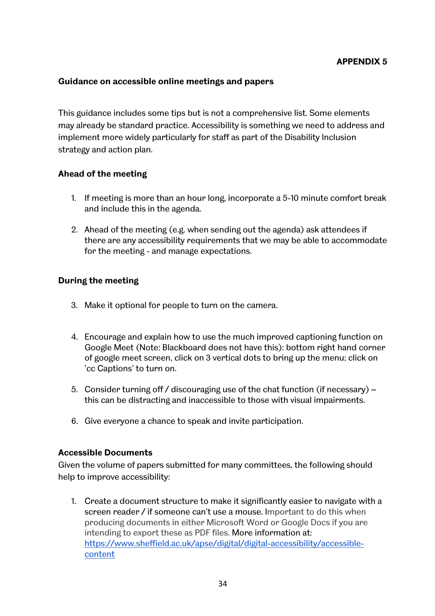### **Guidance on accessible online meetings and papers**

This guidance includes some tips but is not a comprehensive list. Some elements may already be standard practice. Accessibility is something we need to address and implement more widely particularly for staff as part of the Disability Inclusion strategy and action plan.

### **Ahead of the meeting**

- 1. If meeting is more than an hour long, incorporate a 5-10 minute comfort break and include this in the agenda.
- 2. Ahead of the meeting (e.g. when sending out the agenda) ask attendees if there are any accessibility requirements that we may be able to accommodate for the meeting - and manage expectations.

### **During the meeting**

- 3. Make it optional for people to turn on the camera.
- 4. Encourage and explain how to use the much improved captioning function on Google Meet (Note: Blackboard does not have this): bottom right hand corner of google meet screen, click on 3 vertical dots to bring up the menu; click on 'cc Captions' to turn on.
- 5. Consider turning off / discouraging use of the chat function (if necessary) this can be distracting and inaccessible to those with visual impairments.
- 6. Give everyone a chance to speak and invite participation.

#### **Accessible Documents**

Given the volume of papers submitted for many committees, the following should help to improve accessibility:

1. Create a document structure to make it significantly easier to navigate with a screen reader / if someone can't use a mouse. Important to do this when producing documents in either Microsoft Word or Google Docs if you are intending to export these as PDF files. More information at: [https://www.sheffield.ac.uk/apse/digital/digital-accessibility/accessible](https://www.sheffield.ac.uk/apse/digital/digital-accessibility/accessible-content)[content](https://www.sheffield.ac.uk/apse/digital/digital-accessibility/accessible-content)